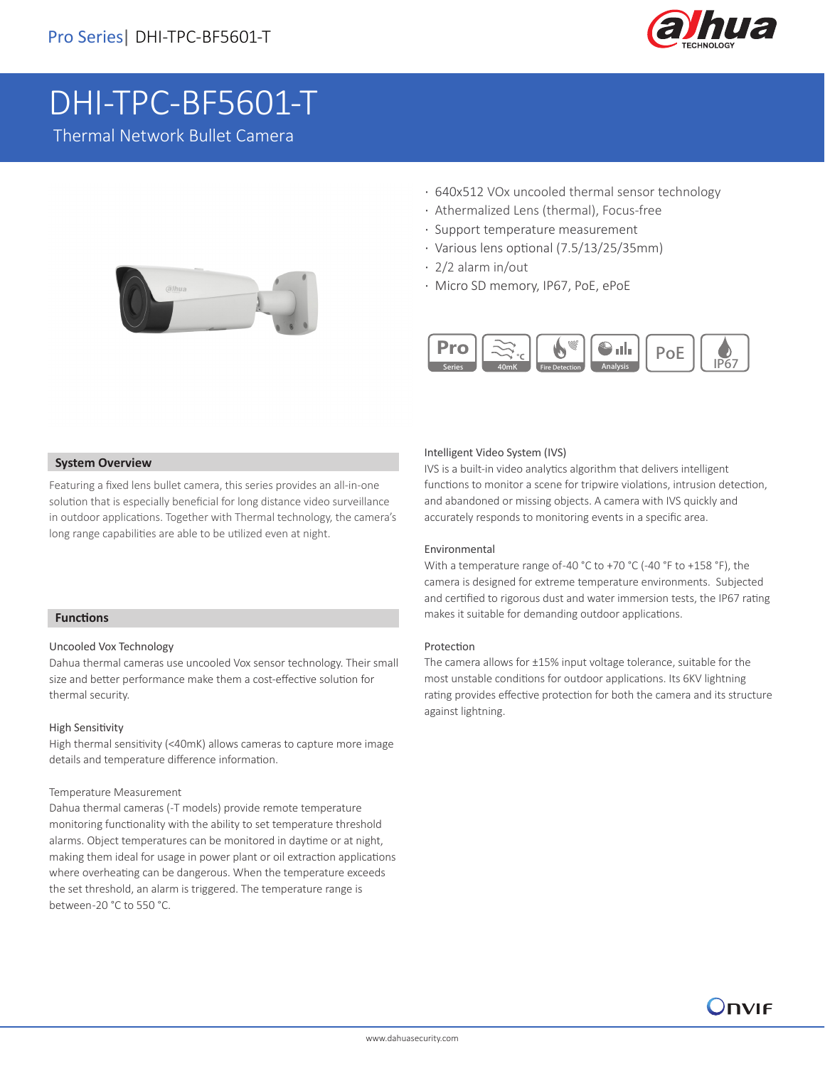

# DHI-TPC-BF5601-T

Thermal Network Bullet Camera



- · 640x512 VOx uncooled thermal sensor technology
- · Athermalized Lens (thermal), Focus-free
- · Support temperature measurement
- · Various lens optional (7.5/13/25/35mm)
- · 2/2 alarm in/out
- · Micro SD memory, IP67, PoE, ePoE



#### **System Overview**

Featuring a fixed lens bullet camera, this series provides an all-in-one solution that is especially beneficial for long distance video surveillance in outdoor applications. Together with Thermal technology, the camera's long range capabilities are able to be utilized even at night.

#### **Functions**

I

#### Uncooled Vox Technology

Dahua thermal cameras use uncooled Vox sensor technology. Their small size and better performance make them a cost-effective solution for thermal security.

#### High Sensitivity

High thermal sensitivity (<40mK) allows cameras to capture more image details and temperature difference information.

#### Temperature Measurement

Dahua thermal cameras (-T models) provide remote temperature monitoring functionality with the ability to set temperature threshold alarms. Object temperatures can be monitored in daytime or at night, making them ideal for usage in power plant or oil extraction applications where overheating can be dangerous. When the temperature exceeds the set threshold, an alarm is triggered. The temperature range is between -20 °C to 550 °C.

## Intelligent Video System (IVS)

IVS is a built-in video analytics algorithm that delivers intelligent functions to monitor a scene for tripwire violations, intrusion detection, and abandoned or missing objects. A camera with IVS quickly and accurately responds to monitoring events in a specific area.

#### Environmental

With a temperature range of -40 °C to +70 °C (-40 °F to +158 °F), the camera is designed for extreme temperature environments. Subjected and certified to rigorous dust and water immersion tests, the IP67 rating makes it suitable for demanding outdoor applications.

#### Protection

The camera allows for ±15% input voltage tolerance, suitable for the most unstable conditions for outdoor applications. Its 6KV lightning rating provides effective protection for both the camera and its structure against lightning.

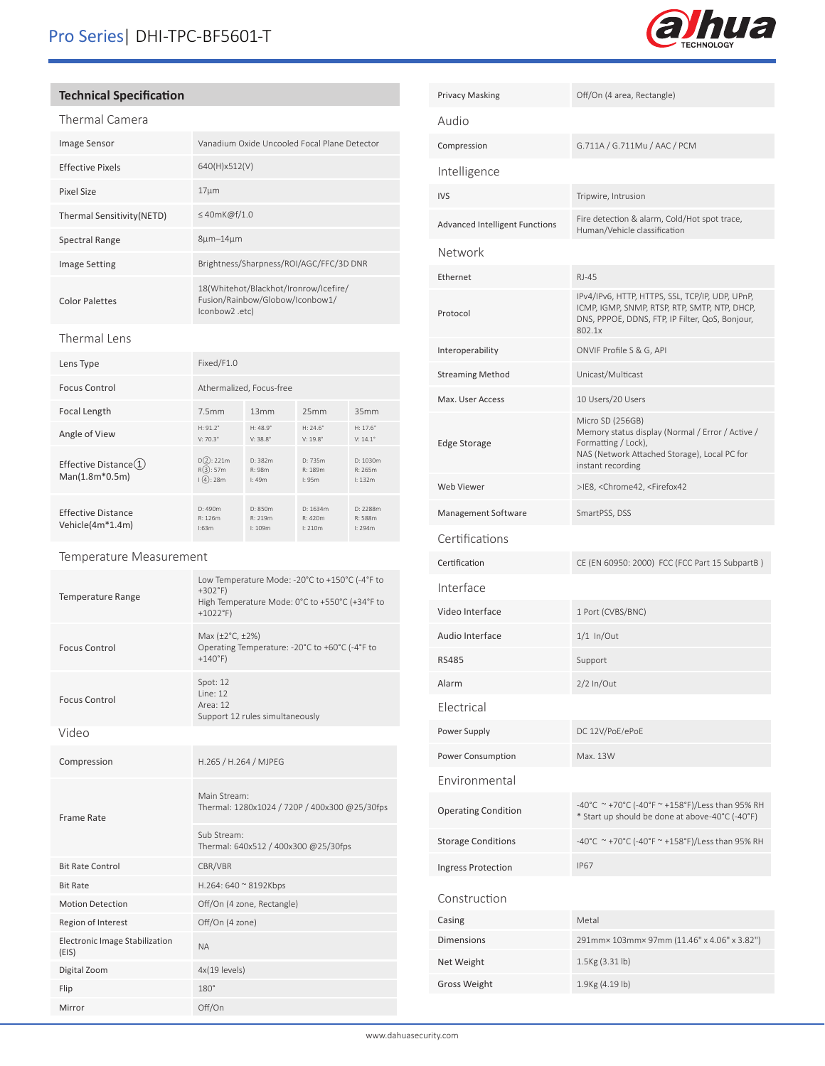

# **Technical Specification**

| Thermal Camera |  |
|----------------|--|

| ם רחווה. במונדדת           |                                                                                           |
|----------------------------|-------------------------------------------------------------------------------------------|
| <b>Image Sensor</b>        | Vanadium Oxide Uncooled Focal Plane Detector                                              |
| Effective Pixels           | 640(H)x512(V)                                                                             |
| Pixel Size                 | $17 \mu m$                                                                                |
| Thermal Sensitivity (NETD) | $\leq$ 40mK@f/1.0                                                                         |
| Spectral Range             | $8\mu m - 14\mu m$                                                                        |
| <b>Image Setting</b>       | Brightness/Sharpness/ROI/AGC/FFC/3D DNR                                                   |
| <b>Color Palettes</b>      | 18(Whitehot/Blackhot/Ironrow/Icefire/<br>Fusion/Rainbow/Globow/Iconbow1/<br>lconbow2.etc) |

## Thermal Lens

| Lens Type                                                  | Fixed/F1.0                             |                                        |                                      |                                        |
|------------------------------------------------------------|----------------------------------------|----------------------------------------|--------------------------------------|----------------------------------------|
| <b>Focus Control</b>                                       | Athermalized, Focus-free               |                                        |                                      |                                        |
| Focal Length                                               | 7.5mm                                  | 13mm                                   | 25mm                                 | 35mm                                   |
| Angle of View                                              | $H: 91.2^{\circ}$<br>$V: 70.3^{\circ}$ | $H: 48.9^{\circ}$<br>$V: 38.8^{\circ}$ | $H: 24.6^{\circ}$<br>$V: 19.8^\circ$ | $H: 17.6^{\circ}$<br>$V: 14.1^{\circ}$ |
| Effective Distance $(1)$<br>$Man(1.8m*0.5m)$               | $D(2)$ : 221m<br>R(3):57m<br>(4):28m   | D: 382m<br>R: 98m<br>1:49m             | D: 735m<br>R: 189m<br>1:95m          | D: 1030m<br>R: 265m<br>1:132m          |
| <b>Effective Distance</b><br>Vehicle(4m <sup>*</sup> 1.4m) | D: 490m<br>R: 126m<br>1:63m            | D: 850m<br>R: 219m<br>1:109m           | D: 1634m<br>R: 420m<br>1:210m        | D: 2288m<br>R: 588m<br>1:294m          |

# Temperature Measurement

| <b>Temperature Range</b>                       | Low Temperature Mode: -20°C to +150°C (-4°F to<br>$+302$ °F)<br>High Temperature Mode: 0°C to +550°C (+34°F to<br>$+1022^{\circ}F$ |  |
|------------------------------------------------|------------------------------------------------------------------------------------------------------------------------------------|--|
| <b>Focus Control</b>                           | Max (±2°C, ±2%)<br>Operating Temperature: -20°C to +60°C (-4°F to<br>$+140^{\circ}F$                                               |  |
| <b>Focus Control</b>                           | Spot: 12<br>line: 12<br>Area: 12<br>Support 12 rules simultaneously                                                                |  |
| Video                                          |                                                                                                                                    |  |
| Compression                                    | H.265 / H.264 / MJPEG                                                                                                              |  |
| Frame Rate                                     | Main Stream:<br>Thermal: 1280x1024 / 720P / 400x300 @25/30fps                                                                      |  |
|                                                | Sub Stream:<br>Thermal: 640x512 / 400x300 @25/30fps                                                                                |  |
| <b>Bit Rate Control</b>                        | CBR/VBR                                                                                                                            |  |
| <b>Bit Rate</b>                                | H.264: 640 ~ 8192Kbps                                                                                                              |  |
| <b>Motion Detection</b>                        | Off/On (4 zone, Rectangle)                                                                                                         |  |
| Region of Interest                             | Off/On (4 zone)                                                                                                                    |  |
| <b>Electronic Image Stabilization</b><br>(EIS) | <b>NA</b>                                                                                                                          |  |
| Digital Zoom                                   | 4x(19 levels)                                                                                                                      |  |
| Flip                                           | $180^\circ$                                                                                                                        |  |
| Mirror                                         | Off/On                                                                                                                             |  |

| <b>Privacy Masking</b>                | Off/On (4 area, Rectangle)                                                                                                                                       |
|---------------------------------------|------------------------------------------------------------------------------------------------------------------------------------------------------------------|
| Audio                                 |                                                                                                                                                                  |
| Compression                           | G.711A / G.711Mu / AAC / PCM                                                                                                                                     |
| Intelligence                          |                                                                                                                                                                  |
| <b>IVS</b>                            | Tripwire, Intrusion                                                                                                                                              |
| <b>Advanced Intelligent Functions</b> | Fire detection & alarm, Cold/Hot spot trace,<br>Human/Vehicle classification                                                                                     |
| Network                               |                                                                                                                                                                  |
| Ethernet                              | <b>RJ-45</b>                                                                                                                                                     |
| Protocol                              | IPv4/IPv6, HTTP, HTTPS, SSL, TCP/IP, UDP, UPnP,<br>ICMP, IGMP, SNMP, RTSP, RTP, SMTP, NTP, DHCP,<br>DNS, PPPOE, DDNS, FTP, IP Filter, QoS, Bonjour,<br>802.1x    |
| Interoperability                      | ONVIF Profile S & G, API                                                                                                                                         |
| <b>Streaming Method</b>               | Unicast/Multicast                                                                                                                                                |
| Max. User Access                      | 10 Users/20 Users                                                                                                                                                |
| Edge Storage                          | Micro SD (256GB)<br>Memory status display (Normal / Error / Active /<br>Formatting / Lock),<br>NAS (Network Attached Storage), Local PC for<br>instant recording |
| Web Viewer                            | >IE8, <chrome42, <firefox42<="" td=""></chrome42,>                                                                                                               |
| Management Software                   | SmartPSS, DSS                                                                                                                                                    |
| Certifications                        |                                                                                                                                                                  |
| Certification                         | CE (EN 60950: 2000) FCC (FCC Part 15 SubpartB)                                                                                                                   |
| Interface                             |                                                                                                                                                                  |
| Video Interface                       | 1 Port (CVBS/BNC)                                                                                                                                                |
| Audio Interface                       | $1/1$ In/Out                                                                                                                                                     |
| <b>RS485</b>                          | Support                                                                                                                                                          |
| Alarm                                 | 2/2 In/Out                                                                                                                                                       |
| Electrical                            |                                                                                                                                                                  |
| Power Supply                          | DC 12V/PoE/ePoE                                                                                                                                                  |
| Power Consumption                     | Max. 13W                                                                                                                                                         |
| Environmental                         |                                                                                                                                                                  |
| <b>Operating Condition</b>            | -40°C ~+70°C (-40°F ~+158°F)/Less than 95% RH<br>* Start up should be done at above-40°C (-40°F)                                                                 |
| <b>Storage Conditions</b>             | -40°C ~+70°C (-40°F ~ +158°F)/Less than 95% RH                                                                                                                   |
| <b>Ingress Protection</b>             | <b>IP67</b>                                                                                                                                                      |
| Construction                          |                                                                                                                                                                  |
| Casing                                | Metal                                                                                                                                                            |
| <b>Dimensions</b>                     | 291mm× 103mm× 97mm (11.46" x 4.06" x 3.82")                                                                                                                      |
| Net Weight                            | 1.5Kg (3.31 lb)                                                                                                                                                  |
| Gross Weight                          |                                                                                                                                                                  |
|                                       | 1.9Kg (4.19 lb)                                                                                                                                                  |